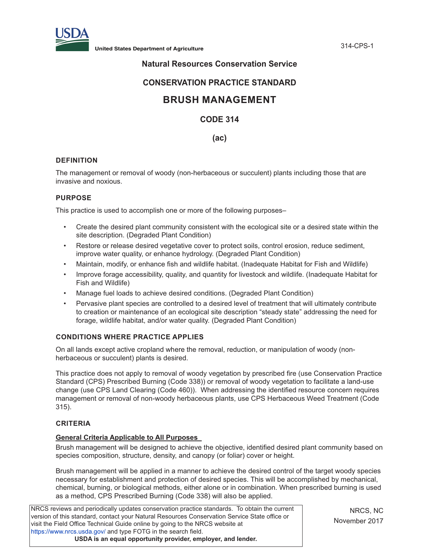

**United States Department of Agriculture** 314-CPS-1

# **Natural Resources Conservation Service**

# **CONSERVATION PRACTICE STANDARD**

# **BRUSH MANAGEMENT**

# **CODE 314**

# **(ac)**

## **DEFINITION**

The management or removal of woody (non-herbaceous or succulent) plants including those that are invasive and noxious.

#### **PURPOSE**

This practice is used to accomplish one or more of the following purposes–

- Create the desired plant community consistent with the ecological site or a desired state within the site description. (Degraded Plant Condition)
- Restore or release desired vegetative cover to protect soils, control erosion, reduce sediment, improve water quality, or enhance hydrology. (Degraded Plant Condition)
- Maintain, modify, or enhance fish and wildlife habitat. (Inadequate Habitat for Fish and Wildlife)
- Improve forage accessibility, quality, and quantity for livestock and wildlife. (Inadequate Habitat for Fish and Wildlife)
- Manage fuel loads to achieve desired conditions. (Degraded Plant Condition)
- Pervasive plant species are controlled to a desired level of treatment that will ultimately contribute to creation or maintenance of an ecological site description "steady state" addressing the need for forage, wildlife habitat, and/or water quality. (Degraded Plant Condition)

# **CONDITIONS WHERE PRACTICE APPLIES**

On all lands except active cropland where the removal, reduction, or manipulation of woody (nonherbaceous or succulent) plants is desired.

This practice does not apply to removal of woody vegetation by prescribed fire (use Conservation Practice Standard (CPS) Prescribed Burning (Code 338)) or removal of woody vegetation to facilitate a land-use change (use CPS Land Clearing (Code 460)). When addressing the identified resource concern requires management or removal of non-woody herbaceous plants, use CPS Herbaceous Weed Treatment (Code 315).

## **CRITERIA**

#### **General Criteria Applicable to All Purposes**

Brush management will be designed to achieve the objective, identified desired plant community based on species composition, structure, density, and canopy (or foliar) cover or height.

Brush management will be applied in a manner to achieve the desired control of the target woody species necessary for establishment and protection of desired species. This will be accomplished by mechanical, chemical, burning, or biological methods, either alone or in combination. When prescribed burning is used as a method, CPS Prescribed Burning (Code 338) will also be applied.

NRCS reviews and periodically updates conservation practice standards. To obtain the current version of this standard, contact your Natural Resources Conservation Service State office or visit the Field Office Technical Guide online by going to the NRCS website at https://www.nrcs.usda.gov/ and type FOTG in the search field. **USDA is an equal opportunity provider, employer, and lender.**

NRCS, NC November 2017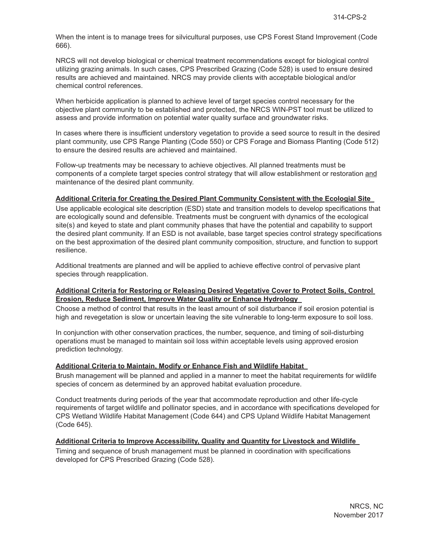When the intent is to manage trees for silvicultural purposes, use CPS Forest Stand Improvement (Code 666).

NRCS will not develop biological or chemical treatment recommendations except for biological control utilizing grazing animals. In such cases, CPS Prescribed Grazing (Code 528) is used to ensure desired results are achieved and maintained. NRCS may provide clients with acceptable biological and/or chemical control references.

When herbicide application is planned to achieve level of target species control necessary for the objective plant community to be established and protected, the NRCS WIN-PST tool must be utilized to assess and provide information on potential water quality surface and groundwater risks.

In cases where there is insufficient understory vegetation to provide a seed source to result in the desired plant community, use CPS Range Planting (Code 550) or CPS Forage and Biomass Planting (Code 512) to ensure the desired results are achieved and maintained.

Follow-up treatments may be necessary to achieve objectives. All planned treatments must be components of a complete target species control strategy that will allow establishment or restoration and maintenance of the desired plant community.

#### **Additional Criteria for Creating the Desired Plant Community Consistent with the Ecologial Site**

Use applicable ecological site description (ESD) state and transition models to develop specifications that are ecologically sound and defensible. Treatments must be congruent with dynamics of the ecological site(s) and keyed to state and plant community phases that have the potential and capability to support the desired plant community. If an ESD is not available, base target species control strategy specifications on the best approximation of the desired plant community composition, structure, and function to support resilience.

Additional treatments are planned and will be applied to achieve effective control of pervasive plant species through reapplication.

#### **Additional Criteria for Restoring or Releasing Desired Vegetative Cover to Protect Soils, Control Erosion, Reduce Sediment, Improve Water Quality or Enhance Hydrology**

Choose a method of control that results in the least amount of soil disturbance if soil erosion potential is high and revegetation is slow or uncertain leaving the site vulnerable to long-term exposure to soil loss.

In conjunction with other conservation practices, the number, sequence, and timing of soil-disturbing operations must be managed to maintain soil loss within acceptable levels using approved erosion prediction technology.

#### **Additional Criteria to Maintain, Modify or Enhance Fish and Wildlife Habitat**

Brush management will be planned and applied in a manner to meet the habitat requirements for wildlife species of concern as determined by an approved habitat evaluation procedure.

Conduct treatments during periods of the year that accommodate reproduction and other life-cycle requirements of target wildlife and pollinator species, and in accordance with specifications developed for CPS Wetland Wildlife Habitat Management (Code 644) and CPS Upland Wildlife Habitat Management (Code 645).

#### **Additional Criteria to Improve Accessibility, Quality and Quantity for Livestock and Wildlife**

Timing and sequence of brush management must be planned in coordination with specifications developed for CPS Prescribed Grazing (Code 528).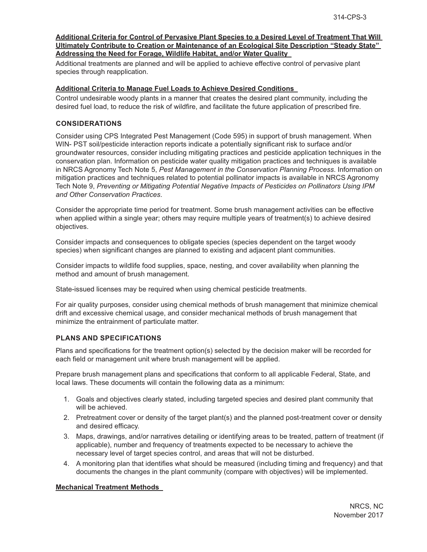#### **Additional Criteria for Control of Pervasive Plant Species to a Desired Level of Treatment That Will Ultimately Contribute to Creation or Maintenance of an Ecological Site Description "Steady State" Addressing the Need for Forage, Wildlife Habitat, and/or Water Quality**

Additional treatments are planned and will be applied to achieve effective control of pervasive plant species through reapplication.

#### **Additional Criteria to Manage Fuel Loads to Achieve Desired Conditions**

Control undesirable woody plants in a manner that creates the desired plant community, including the desired fuel load, to reduce the risk of wildfire, and facilitate the future application of prescribed fire.

#### **CONSIDERATIONS**

Consider using CPS Integrated Pest Management (Code 595) in support of brush management. When WIN- PST soil/pesticide interaction reports indicate a potentially significant risk to surface and/or groundwater resources, consider including mitigating practices and pesticide application techniques in the conservation plan. Information on pesticide water quality mitigation practices and techniques is available in NRCS Agronomy Tech Note 5, *Pest Management in the Conservation Planning Process*. Information on mitigation practices and techniques related to potential pollinator impacts is available in NRCS Agronomy Tech Note 9, *Preventing or Mitigating Potential Negative Impacts of Pesticides on Pollinators Using IPM and Other Conservation Practices*.

Consider the appropriate time period for treatment. Some brush management activities can be effective when applied within a single year; others may require multiple years of treatment(s) to achieve desired objectives.

Consider impacts and consequences to obligate species (species dependent on the target woody species) when significant changes are planned to existing and adjacent plant communities.

Consider impacts to wildlife food supplies, space, nesting, and cover availability when planning the method and amount of brush management.

State-issued licenses may be required when using chemical pesticide treatments.

For air quality purposes, consider using chemical methods of brush management that minimize chemical drift and excessive chemical usage, and consider mechanical methods of brush management that minimize the entrainment of particulate matter.

#### **PLANS AND SPECIFICATIONS**

Plans and specifications for the treatment option(s) selected by the decision maker will be recorded for each field or management unit where brush management will be applied.

Prepare brush management plans and specifications that conform to all applicable Federal, State, and local laws. These documents will contain the following data as a minimum:

- 1. Goals and objectives clearly stated, including targeted species and desired plant community that will be achieved.
- 2. Pretreatment cover or density of the target plant(s) and the planned post-treatment cover or density and desired efficacy.
- 3. Maps, drawings, and/or narratives detailing or identifying areas to be treated, pattern of treatment (if applicable), number and frequency of treatments expected to be necessary to achieve the necessary level of target species control, and areas that will not be disturbed.
- 4. A monitoring plan that identifies what should be measured (including timing and frequency) and that documents the changes in the plant community (compare with objectives) will be implemented.

#### **Mechanical Treatment Methods**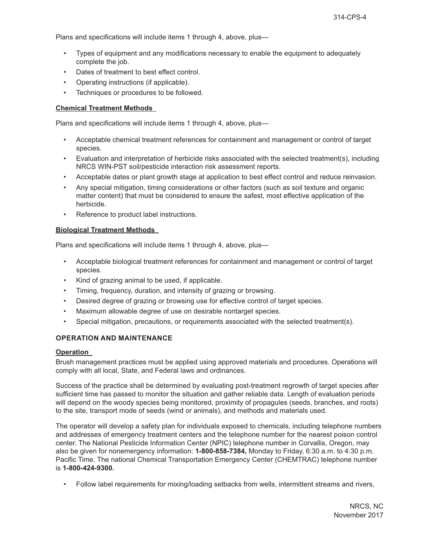Plans and specifications will include items 1 through 4, above, plus—

- Types of equipment and any modifications necessary to enable the equipment to adequately complete the job.
- Dates of treatment to best effect control.
- Operating instructions (if applicable).
- Techniques or procedures to be followed.

## **Chemical Treatment Methods**

Plans and specifications will include items 1 through 4, above, plus—

- Acceptable chemical treatment references for containment and management or control of target species.
- Evaluation and interpretation of herbicide risks associated with the selected treatment(s), including NRCS WIN-PST soil/pesticide interaction risk assessment reports.
- Acceptable dates or plant growth stage at application to best effect control and reduce reinvasion.
- Any special mitigation, timing considerations or other factors (such as soil texture and organic matter content) that must be considered to ensure the safest, most effective application of the herbicide.
- Reference to product label instructions.

#### **Biological Treatment Methods**

Plans and specifications will include items 1 through 4, above, plus—

- Acceptable biological treatment references for containment and management or control of target species.
- Kind of grazing animal to be used, if applicable.
- Timing, frequency, duration, and intensity of grazing or browsing.
- Desired degree of grazing or browsing use for effective control of target species.
- Maximum allowable degree of use on desirable nontarget species.
- Special mitigation, precautions, or requirements associated with the selected treatment(s).

## **OPERATION AND MAINTENANCE**

#### **Operation**

Brush management practices must be applied using approved materials and procedures. Operations will comply with all local, State, and Federal laws and ordinances.

Success of the practice shall be determined by evaluating post-treatment regrowth of target species after sufficient time has passed to monitor the situation and gather reliable data. Length of evaluation periods will depend on the woody species being monitored, proximity of propagules (seeds, branches, and roots) to the site, transport mode of seeds (wind or animals), and methods and materials used.

The operator will develop a safety plan for individuals exposed to chemicals, including telephone numbers and addresses of emergency treatment centers and the telephone number for the nearest poison control center. The National Pesticide Information Center (NPIC) telephone number in Corvallis, Oregon, may also be given for nonemergency information: **1-800-858-7384,** Monday to Friday, 6:30 a.m. to 4:30 p.m. Pacific Time. The national Chemical Transportation Emergency Center (CHEMTRAC) telephone number is **1-800-424-9300.** 

• Follow label requirements for mixing/loading setbacks from wells, intermittent streams and rivers,